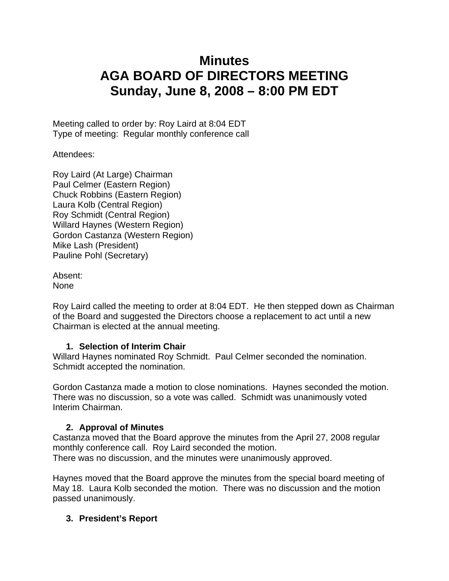# **Minutes AGA BOARD OF DIRECTORS MEETING Sunday, June 8, 2008 – 8:00 PM EDT**

Meeting called to order by: Roy Laird at 8:04 EDT Type of meeting: Regular monthly conference call

Attendees:

Roy Laird (At Large) Chairman Paul Celmer (Eastern Region) Chuck Robbins (Eastern Region) Laura Kolb (Central Region) Roy Schmidt (Central Region) Willard Haynes (Western Region) Gordon Castanza (Western Region) Mike Lash (President) Pauline Pohl (Secretary)

Absent: None

Roy Laird called the meeting to order at 8:04 EDT. He then stepped down as Chairman of the Board and suggested the Directors choose a replacement to act until a new Chairman is elected at the annual meeting.

## **1. Selection of Interim Chair**

Willard Haynes nominated Roy Schmidt. Paul Celmer seconded the nomination. Schmidt accepted the nomination.

Gordon Castanza made a motion to close nominations. Haynes seconded the motion. There was no discussion, so a vote was called. Schmidt was unanimously voted Interim Chairman.

## **2. Approval of Minutes**

Castanza moved that the Board approve the minutes from the April 27, 2008 regular monthly conference call. Roy Laird seconded the motion. There was no discussion, and the minutes were unanimously approved.

Haynes moved that the Board approve the minutes from the special board meeting of May 18. Laura Kolb seconded the motion. There was no discussion and the motion passed unanimously.

## **3. President's Report**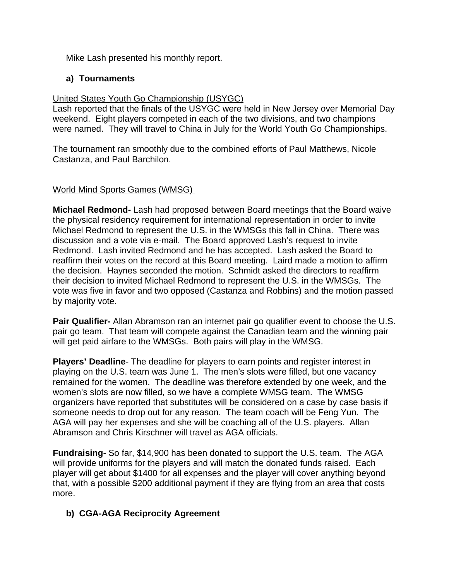Mike Lash presented his monthly report.

## **a) Tournaments**

## United States Youth Go Championship (USYGC)

Lash reported that the finals of the USYGC were held in New Jersey over Memorial Day weekend. Eight players competed in each of the two divisions, and two champions were named. They will travel to China in July for the World Youth Go Championships.

The tournament ran smoothly due to the combined efforts of Paul Matthews, Nicole Castanza, and Paul Barchilon.

## World Mind Sports Games (WMSG)

**Michael Redmond-** Lash had proposed between Board meetings that the Board waive the physical residency requirement for international representation in order to invite Michael Redmond to represent the U.S. in the WMSGs this fall in China. There was discussion and a vote via e-mail. The Board approved Lash's request to invite Redmond. Lash invited Redmond and he has accepted. Lash asked the Board to reaffirm their votes on the record at this Board meeting. Laird made a motion to affirm the decision. Haynes seconded the motion. Schmidt asked the directors to reaffirm their decision to invited Michael Redmond to represent the U.S. in the WMSGs. The vote was five in favor and two opposed (Castanza and Robbins) and the motion passed by majority vote.

**Pair Qualifier-** Allan Abramson ran an internet pair go qualifier event to choose the U.S. pair go team. That team will compete against the Canadian team and the winning pair will get paid airfare to the WMSGs. Both pairs will play in the WMSG.

**Players' Deadline**- The deadline for players to earn points and register interest in playing on the U.S. team was June 1. The men's slots were filled, but one vacancy remained for the women. The deadline was therefore extended by one week, and the women's slots are now filled, so we have a complete WMSG team. The WMSG organizers have reported that substitutes will be considered on a case by case basis if someone needs to drop out for any reason. The team coach will be Feng Yun. The AGA will pay her expenses and she will be coaching all of the U.S. players. Allan Abramson and Chris Kirschner will travel as AGA officials.

**Fundraising**- So far, \$14,900 has been donated to support the U.S. team. The AGA will provide uniforms for the players and will match the donated funds raised. Each player will get about \$1400 for all expenses and the player will cover anything beyond that, with a possible \$200 additional payment if they are flying from an area that costs more.

## **b) CGA-AGA Reciprocity Agreement**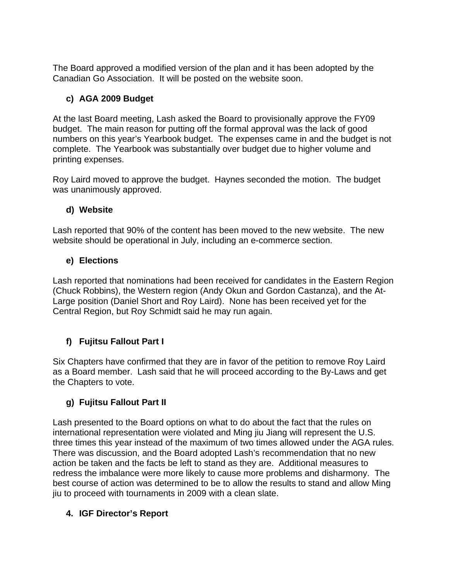The Board approved a modified version of the plan and it has been adopted by the Canadian Go Association. It will be posted on the website soon.

# **c) AGA 2009 Budget**

At the last Board meeting, Lash asked the Board to provisionally approve the FY09 budget. The main reason for putting off the formal approval was the lack of good numbers on this year's Yearbook budget. The expenses came in and the budget is not complete. The Yearbook was substantially over budget due to higher volume and printing expenses.

Roy Laird moved to approve the budget. Haynes seconded the motion. The budget was unanimously approved.

## **d) Website**

Lash reported that 90% of the content has been moved to the new website. The new website should be operational in July, including an e-commerce section.

## **e) Elections**

Lash reported that nominations had been received for candidates in the Eastern Region (Chuck Robbins), the Western region (Andy Okun and Gordon Castanza), and the At-Large position (Daniel Short and Roy Laird). None has been received yet for the Central Region, but Roy Schmidt said he may run again.

# **f) Fujitsu Fallout Part I**

Six Chapters have confirmed that they are in favor of the petition to remove Roy Laird as a Board member. Lash said that he will proceed according to the By-Laws and get the Chapters to vote.

# **g) Fujitsu Fallout Part II**

Lash presented to the Board options on what to do about the fact that the rules on international representation were violated and Ming jiu Jiang will represent the U.S. three times this year instead of the maximum of two times allowed under the AGA rules. There was discussion, and the Board adopted Lash's recommendation that no new action be taken and the facts be left to stand as they are. Additional measures to redress the imbalance were more likely to cause more problems and disharmony. The best course of action was determined to be to allow the results to stand and allow Ming jiu to proceed with tournaments in 2009 with a clean slate.

# **4. IGF Director's Report**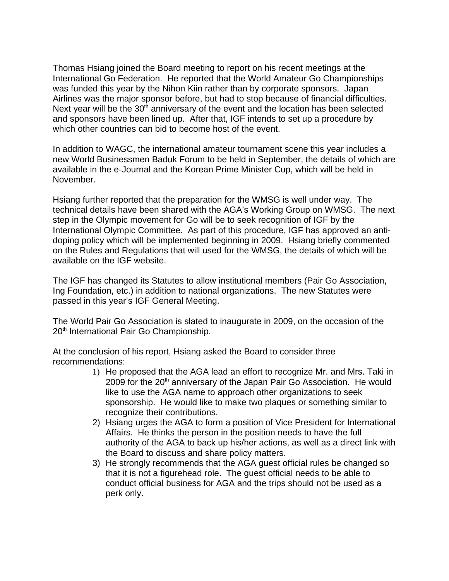Thomas Hsiang joined the Board meeting to report on his recent meetings at the International Go Federation. He reported that the World Amateur Go Championships was funded this year by the Nihon Kiin rather than by corporate sponsors. Japan Airlines was the major sponsor before, but had to stop because of financial difficulties. Next year will be the  $30<sup>th</sup>$  anniversary of the event and the location has been selected and sponsors have been lined up. After that, IGF intends to set up a procedure by which other countries can bid to become host of the event.

In addition to WAGC, the international amateur tournament scene this year includes a new World Businessmen Baduk Forum to be held in September, the details of which are available in the e-Journal and the Korean Prime Minister Cup, which will be held in November.

Hsiang further reported that the preparation for the WMSG is well under way. The technical details have been shared with the AGA's Working Group on WMSG. The next step in the Olympic movement for Go will be to seek recognition of IGF by the International Olympic Committee. As part of this procedure, IGF has approved an antidoping policy which will be implemented beginning in 2009. Hsiang briefly commented on the Rules and Regulations that will used for the WMSG, the details of which will be available on the IGF website.

The IGF has changed its Statutes to allow institutional members (Pair Go Association, Ing Foundation, etc.) in addition to national organizations. The new Statutes were passed in this year's IGF General Meeting.

The World Pair Go Association is slated to inaugurate in 2009, on the occasion of the 20<sup>th</sup> International Pair Go Championship.

At the conclusion of his report, Hsiang asked the Board to consider three recommendations:

- 1) He proposed that the AGA lead an effort to recognize Mr. and Mrs. Taki in 2009 for the 20<sup>th</sup> anniversary of the Japan Pair Go Association. He would like to use the AGA name to approach other organizations to seek sponsorship. He would like to make two plaques or something similar to recognize their contributions.
- 2) Hsiang urges the AGA to form a position of Vice President for International Affairs. He thinks the person in the position needs to have the full authority of the AGA to back up his/her actions, as well as a direct link with the Board to discuss and share policy matters.
- 3) He strongly recommends that the AGA guest official rules be changed so that it is not a figurehead role. The guest official needs to be able to conduct official business for AGA and the trips should not be used as a perk only.